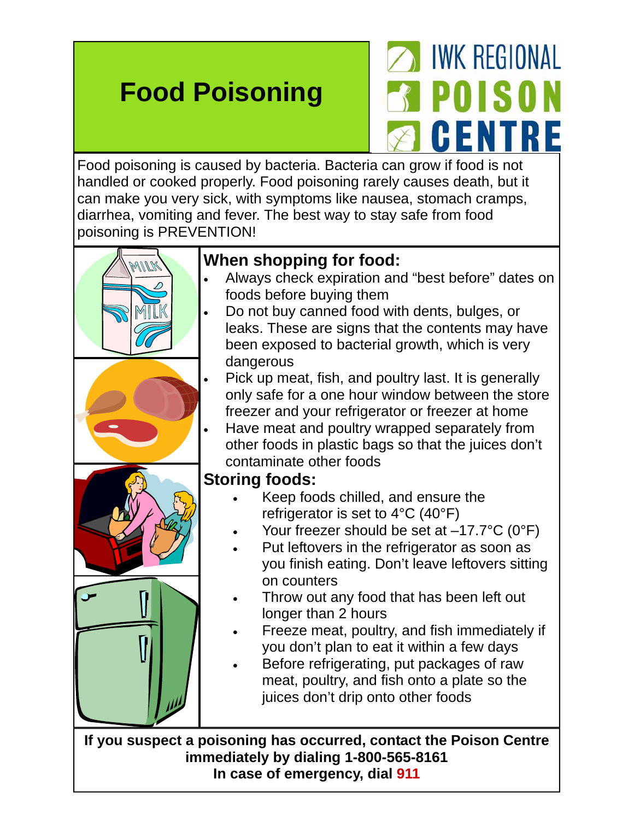# **Food Poisoning**

# **IWK REGIONAL POISON CENTRE**

Food poisoning is caused by bacteria. Bacteria can grow if food is not handled or cooked properly. Food poisoning rarely causes death, but it can make you very sick, with symptoms like nausea, stomach cramps, diarrhea, vomiting and fever. The best way to stay safe from food poisoning is PREVENTION!



- Always check expiration and "best before" dates on foods before buying them
- Do not buy canned food with dents, bulges, or leaks. These are signs that the contents may have been exposed to bacterial growth, which is very dangerous
- Pick up meat, fish, and poultry last. It is generally only safe for a one hour window between the store freezer and your refrigerator or freezer at home
- Have meat and poultry wrapped separately from other foods in plastic bags so that the juices don't contaminate other foods

#### **Storing foods:**

- Keep foods chilled, and ensure the refrigerator is set to 4°C (40°F)
- Your freezer should be set at –17.7°C (0°F)
- Put leftovers in the refrigerator as soon as you finish eating. Don't leave leftovers sitting on counters
- Throw out any food that has been left out longer than 2 hours
- Freeze meat, poultry, and fish immediately if you don't plan to eat it within a few days
- Before refrigerating, put packages of raw meat, poultry, and fish onto a plate so the juices don't drip onto other foods

**If you suspect a poisoning has occurred, contact the Poison Centre immediately by dialing 1-800-565-8161 In case of emergency, dial 911**